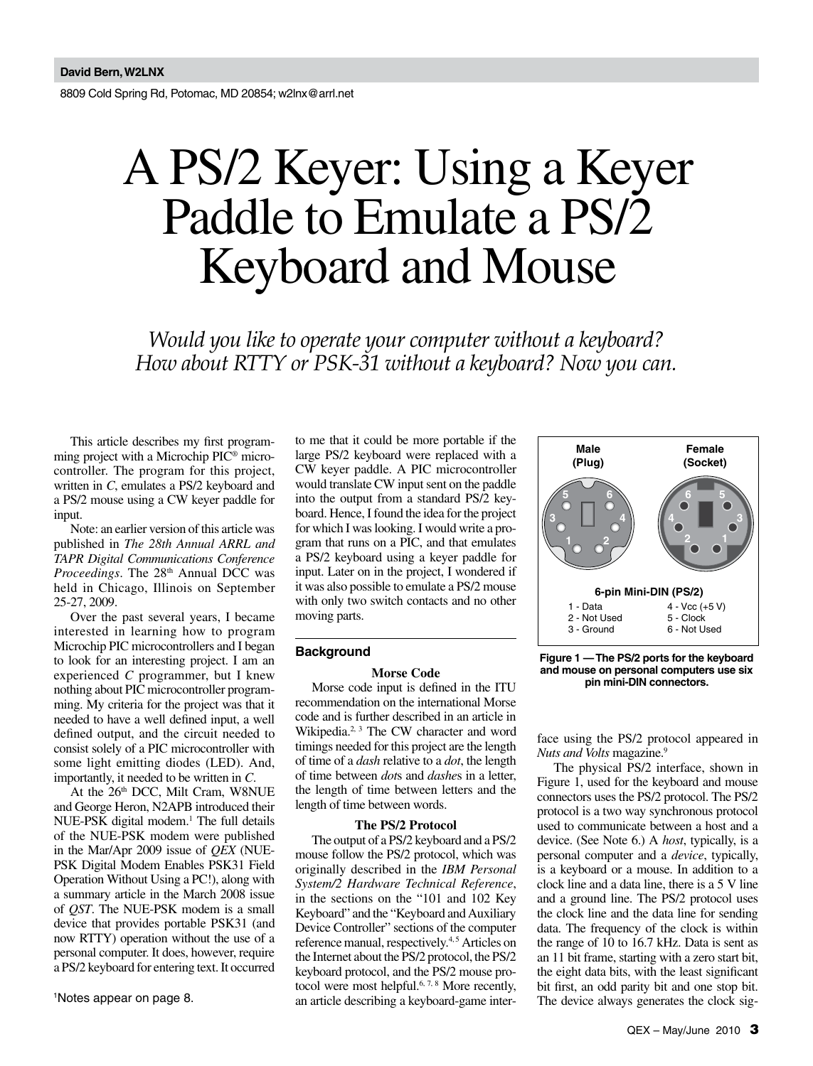8809 Cold Spring Rd, Potomac, MD 20854; w2lnx@arrl.net

# A PS/2 Keyer: Using a Keyer Paddle to Emulate a PS/2 Keyboard and Mouse

*Would you like to operate your computer without a keyboard? How about RTTY or PSK-31 without a keyboard? Now you can.*

This article describes my first programming project with a Microchip PIC® microcontroller. The program for this project, written in *C*, emulates a PS/2 keyboard and a PS/2 mouse using a CW keyer paddle for input.

Note: an earlier version of this article was published in *The 28th Annual ARRL and TAPR Digital Communications Conference Proceedings*. The 28<sup>th</sup> Annual DCC was held in Chicago, Illinois on September 25-27, 2009.

Over the past several years, I became interested in learning how to program Microchip PIC microcontrollers and I began to look for an interesting project. I am an experienced *C* programmer, but I knew nothing about PIC microcontroller programming. My criteria for the project was that it needed to have a well defined input, a well defined output, and the circuit needed to consist solely of a PIC microcontroller with some light emitting diodes (LED). And, importantly, it needed to be written in *C*.

At the 26<sup>th</sup> DCC, Milt Cram, W8NUE and George Heron, N2APB introduced their NUE-PSK digital modem.<sup>1</sup> The full details of the NUE-PSK modem were published in the Mar/Apr 2009 issue of *QEX* (NUE-PSK Digital Modem Enables PSK31 Field Operation Without Using a PC!), along with a summary article in the March 2008 issue of *QST*. The NUE-PSK modem is a small device that provides portable PSK31 (and now RTTY) operation without the use of a personal computer. It does, however, require a PS/2 keyboard for entering text. It occurred

1 Notes appear on page 8.

to me that it could be more portable if the large PS/2 keyboard were replaced with a CW keyer paddle. A PIC microcontroller would translate CW input sent on the paddle into the output from a standard PS/2 keyboard. Hence, I found the idea for the project for which I was looking. I would write a program that runs on a PIC, and that emulates a PS/2 keyboard using a keyer paddle for input. Later on in the project, I wondered if it was also possible to emulate a PS/2 mouse with only two switch contacts and no other moving parts.

# **Background**

# **Morse Code**

Morse code input is defined in the ITU recommendation on the international Morse code and is further described in an article in Wikipedia.<sup>2, 3</sup> The CW character and word timings needed for this project are the length of time of a *dash* relative to a *dot*, the length of time between *dot*s and *dashe*s in a letter, the length of time between letters and the length of time between words.

## **The PS/2 Protocol**

The output of a PS/2 keyboard and a PS/2 mouse follow the PS/2 protocol, which was originally described in the *IBM Personal System/2 Hardware Technical Reference*, in the sections on the "101 and 102 Key Keyboard" and the "Keyboard and Auxiliary Device Controller" sections of the computer reference manual, respectively.<sup>4,5</sup> Articles on the Internet about the PS/2 protocol, the PS/2 keyboard protocol, and the PS/2 mouse protocol were most helpful.<sup>6, 7, 8</sup> More recently, an article describing a keyboard-game inter-



**Figure 1 — The PS/2 ports for the keyboard and mouse on personal computers use six pin mini-DIN connectors.**

face using the PS/2 protocol appeared in *Nuts and Volts* magazine.9

The physical PS/2 interface, shown in Figure 1, used for the keyboard and mouse connectors uses the PS/2 protocol. The PS/2 protocol is a two way synchronous protocol used to communicate between a host and a device. (See Note 6.) A *host*, typically, is a personal computer and a *device*, typically, is a keyboard or a mouse. In addition to a clock line and a data line, there is a 5 V line and a ground line. The PS/2 protocol uses the clock line and the data line for sending data. The frequency of the clock is within the range of 10 to 16.7 kHz. Data is sent as an 11 bit frame, starting with a zero start bit, the eight data bits, with the least significant bit first, an odd parity bit and one stop bit. The device always generates the clock sig-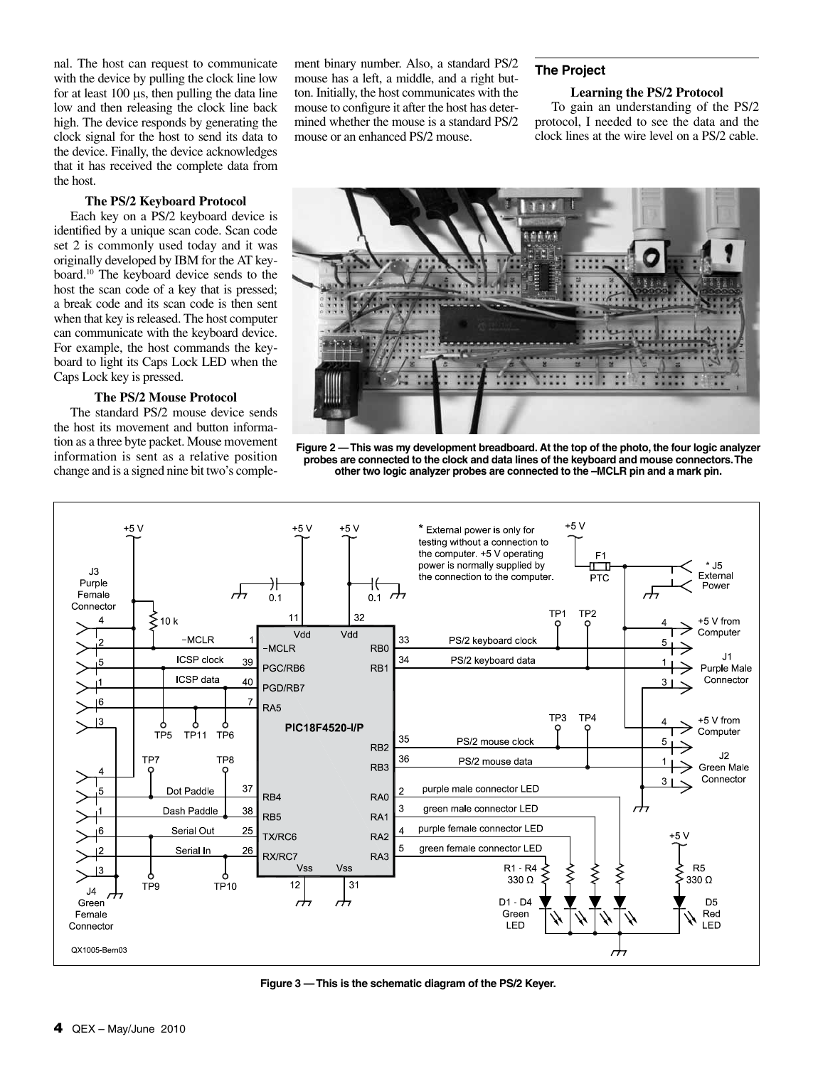nal. The host can request to communicate with the device by pulling the clock line low for at least  $100 \mu s$ , then pulling the data line low and then releasing the clock line back high. The device responds by generating the clock signal for the host to send its data to the device. Finally, the device acknowledges that it has received the complete data from the host.

# **The PS/2 Keyboard Protocol**

Each key on a PS/2 keyboard device is identified by a unique scan code. Scan code set 2 is commonly used today and it was originally developed by IBM for the AT keyboard.10 The keyboard device sends to the host the scan code of a key that is pressed; a break code and its scan code is then sent when that key is released. The host computer can communicate with the keyboard device. For example, the host commands the keyboard to light its Caps Lock LED when the Caps Lock key is pressed.

# **The PS/2 Mouse Protocol**

The standard PS/2 mouse device sends the host its movement and button information as a three byte packet. Mouse movement information is sent as a relative position change and is a signed nine bit two's complement binary number. Also, a standard PS/2 mouse has a left, a middle, and a right button. Initially, the host communicates with the mouse to configure it after the host has determined whether the mouse is a standard PS/2 mouse or an enhanced PS/2 mouse.

# **The Project**

# **Learning the PS/2 Protocol**

To gain an understanding of the PS/2 protocol, I needed to see the data and the clock lines at the wire level on a PS/2 cable.







**Figure 3 — This is the schematic diagram of the PS/2 Keyer.**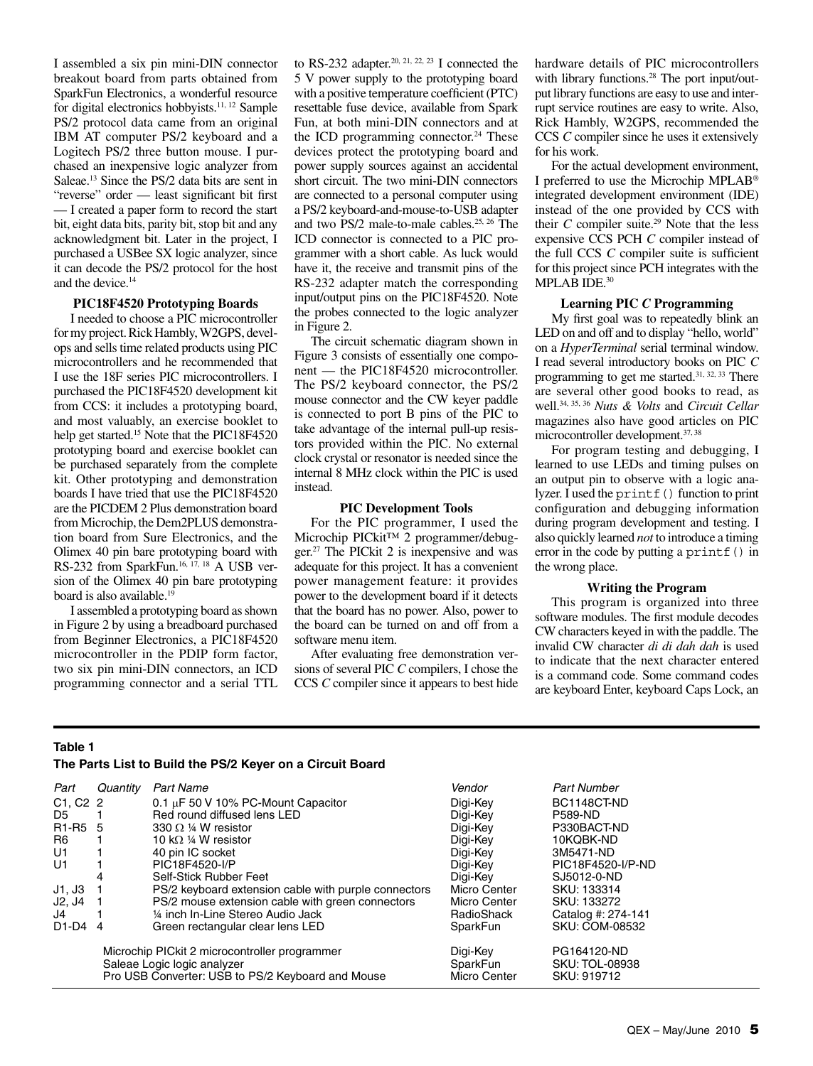I assembled a six pin mini-DIN connector breakout board from parts obtained from SparkFun Electronics, a wonderful resource for digital electronics hobbyists.11, 12 Sample PS/2 protocol data came from an original IBM AT computer PS/2 keyboard and a Logitech PS/2 three button mouse. I purchased an inexpensive logic analyzer from Saleae.13 Since the PS/2 data bits are sent in "reverse" order — least significant bit first — I created a paper form to record the start bit, eight data bits, parity bit, stop bit and any acknowledgment bit. Later in the project, I purchased a USBee SX logic analyzer, since it can decode the PS/2 protocol for the host and the device.<sup>14</sup>

# **PIC18F4520 Prototyping Boards**

I needed to choose a PIC microcontroller for my project. Rick Hambly, W2GPS, develops and sells time related products using PIC microcontrollers and he recommended that I use the 18F series PIC microcontrollers. I purchased the PIC18F4520 development kit from CCS: it includes a prototyping board, and most valuably, an exercise booklet to help get started.<sup>15</sup> Note that the PIC18F4520 prototyping board and exercise booklet can be purchased separately from the complete kit. Other prototyping and demonstration boards I have tried that use the PIC18F4520 are the PICDEM 2 Plus demonstration board from Microchip, the Dem2PLUS demonstration board from Sure Electronics, and the Olimex 40 pin bare prototyping board with RS-232 from SparkFun.<sup>16, 17, 18</sup> A USB version of the Olimex 40 pin bare prototyping board is also available.<sup>19</sup>

I assembled a prototyping board as shown in Figure 2 by using a breadboard purchased from Beginner Electronics, a PIC18F4520 microcontroller in the PDIP form factor, two six pin mini-DIN connectors, an ICD programming connector and a serial TTL

to RS-232 adapter.<sup>20, 21, 22, 23</sup> I connected the 5 V power supply to the prototyping board with a positive temperature coefficient (PTC) resettable fuse device, available from Spark Fun, at both mini-DIN connectors and at the ICD programming connector.<sup>24</sup> These devices protect the prototyping board and power supply sources against an accidental short circuit. The two mini-DIN connectors are connected to a personal computer using a PS/2 keyboard-and-mouse-to-USB adapter and two PS/2 male-to-male cables.25, 26 The ICD connector is connected to a PIC programmer with a short cable. As luck would have it, the receive and transmit pins of the RS-232 adapter match the corresponding input/output pins on the PIC18F4520. Note the probes connected to the logic analyzer in Figure 2.

The circuit schematic diagram shown in Figure 3 consists of essentially one component — the PIC18F4520 microcontroller. The PS/2 keyboard connector, the PS/2 mouse connector and the CW keyer paddle is connected to port B pins of the PIC to take advantage of the internal pull-up resistors provided within the PIC. No external clock crystal or resonator is needed since the internal 8 MHz clock within the PIC is used instead.

## **PIC Development Tools**

For the PIC programmer, I used the Microchip PICkit™ 2 programmer/debugger.27 The PICkit 2 is inexpensive and was adequate for this project. It has a convenient power management feature: it provides power to the development board if it detects that the board has no power. Also, power to the board can be turned on and off from a software menu item.

After evaluating free demonstration versions of several PIC *C* compilers, I chose the CCS *C* compiler since it appears to best hide hardware details of PIC microcontrollers with library functions.<sup>28</sup> The port input/output library functions are easy to use and interrupt service routines are easy to write. Also, Rick Hambly, W2GPS, recommended the CCS *C* compiler since he uses it extensively for his work.

For the actual development environment, I preferred to use the Microchip MPLAB® integrated development environment (IDE) instead of the one provided by CCS with their  $C$  compiler suite.<sup>29</sup> Note that the less expensive CCS PCH *C* compiler instead of the full CCS *C* compiler suite is sufficient for this project since PCH integrates with the MPLAB IDE.<sup>30</sup>

# **Learning PIC** *C* **Programming**

My first goal was to repeatedly blink an LED on and off and to display "hello, world" on a *HyperTerminal* serial terminal window. I read several introductory books on PIC *C* programming to get me started.31, 32, 33 There are several other good books to read, as well.34, 35, 36 *Nuts & Volts* and *Circuit Cellar* magazines also have good articles on PIC microcontroller development.37, 38

For program testing and debugging, I learned to use LEDs and timing pulses on an output pin to observe with a logic analyzer. I used the printf() function to print configuration and debugging information during program development and testing. I also quickly learned *not* to introduce a timing error in the code by putting a printf() in the wrong place.

# **Writing the Program**

This program is organized into three software modules. The first module decodes CW characters keyed in with the paddle. The invalid CW character *di di dah dah* is used to indicate that the next character entered is a command code. Some command codes are keyboard Enter, keyboard Caps Lock, an

# **Table 1**

#### **The Parts List to Build the PS/2 Keyer on a Circuit Board**

| Part                             | Quantity                                          | <b>Part Name</b>                                     | Vendor       | <b>Part Number</b> |
|----------------------------------|---------------------------------------------------|------------------------------------------------------|--------------|--------------------|
| $C1, C2$ 2                       |                                                   | 0.1 $\mu$ F 50 V 10% PC-Mount Capacitor              | Digi-Key     | BC1148CT-ND        |
| D5.                              |                                                   | Red round diffused lens LED                          | Digi-Key     | <b>P589-ND</b>     |
| R <sub>1</sub> -R <sub>5</sub> 5 |                                                   | 330 $\Omega$ ¼ W resistor                            | Digi-Key     | P330BACT-ND        |
| R6                               |                                                   | 10 k $\Omega$ ¼ W resistor                           | Digi-Key     | 10KQBK-ND          |
| U1                               |                                                   | 40 pin IC socket                                     | Digi-Key     | 3M5471-ND          |
| U1                               |                                                   | PIC18F4520-I/P                                       | Digi-Key     | PIC18F4520-I/P-ND  |
|                                  | 4                                                 | Self-Stick Rubber Feet                               | Digi-Key     | SJ5012-0-ND        |
| J1, J3                           |                                                   | PS/2 keyboard extension cable with purple connectors | Micro Center | SKU: 133314        |
| J2, J4                           |                                                   | PS/2 mouse extension cable with green connectors     | Micro Center | SKU: 133272        |
| J4                               |                                                   | 1/4 inch In-Line Stereo Audio Jack                   | RadioShack   | Catalog #: 274-141 |
| $D1-D4$ 4                        |                                                   | Green rectangular clear lens LED                     | SparkFun     | SKU: COM-08532     |
|                                  | Microchip PIC kit 2 microcontroller programmer    |                                                      | Digi-Key     | PG164120-ND        |
|                                  |                                                   | Saleae Logic logic analyzer                          | SparkFun     | SKU: TOL-08938     |
|                                  | Pro USB Converter: USB to PS/2 Keyboard and Mouse |                                                      | Micro Center | SKU: 919712        |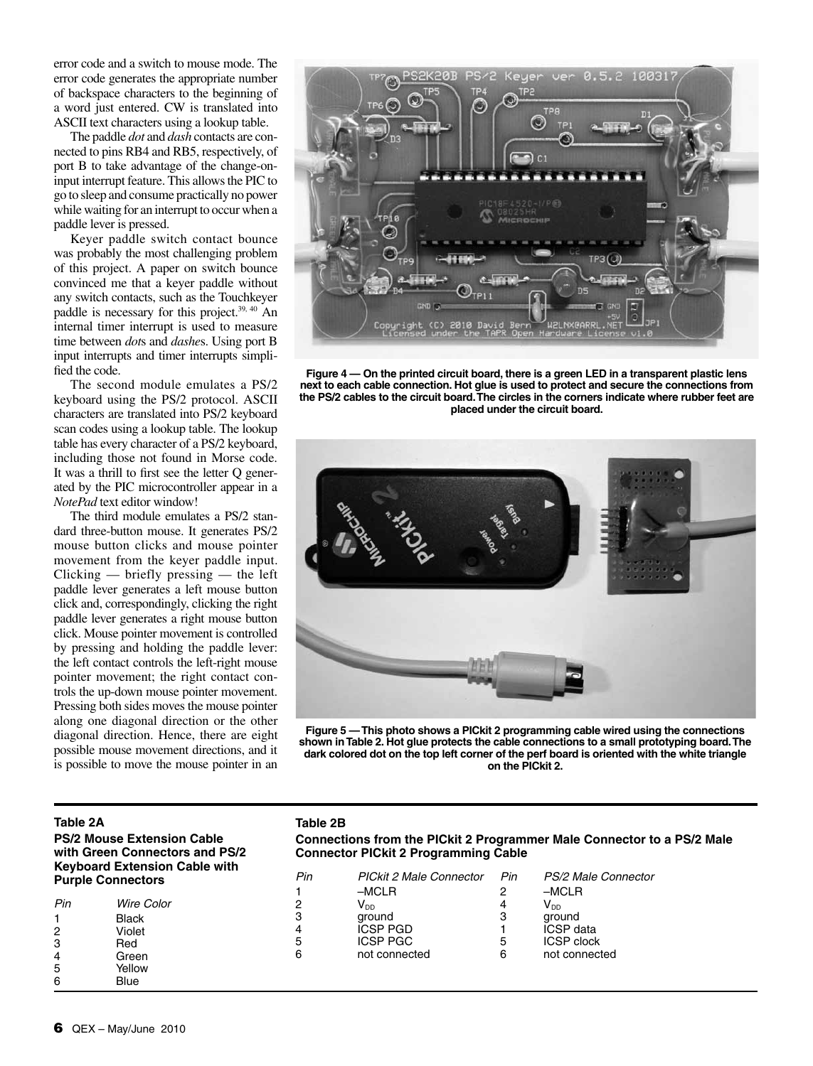error code and a switch to mouse mode. The error code generates the appropriate number of backspace characters to the beginning of a word just entered. CW is translated into ASCII text characters using a lookup table.

The paddle *dot* and *dash* contacts are connected to pins RB4 and RB5, respectively, of port B to take advantage of the change-oninput interrupt feature. This allows the PIC to go to sleep and consume practically no power while waiting for an interrupt to occur when a paddle lever is pressed.

Keyer paddle switch contact bounce was probably the most challenging problem of this project. A paper on switch bounce convinced me that a keyer paddle without any switch contacts, such as the Touchkeyer paddle is necessary for this project.<sup>39, 40</sup> An internal timer interrupt is used to measure time between *dot*s and *dashe*s. Using port B input interrupts and timer interrupts simplified the code.

The second module emulates a PS/2 keyboard using the PS/2 protocol. ASCII characters are translated into PS/2 keyboard scan codes using a lookup table. The lookup table has every character of a PS/2 keyboard, including those not found in Morse code. It was a thrill to first see the letter Q generated by the PIC microcontroller appear in a *NotePad* text editor window!

The third module emulates a PS/2 standard three-button mouse. It generates PS/2 mouse button clicks and mouse pointer movement from the keyer paddle input. Clicking — briefly pressing — the left paddle lever generates a left mouse button click and, correspondingly, clicking the right paddle lever generates a right mouse button click. Mouse pointer movement is controlled by pressing and holding the paddle lever: the left contact controls the left-right mouse pointer movement; the right contact controls the up-down mouse pointer movement. Pressing both sides moves the mouse pointer along one diagonal direction or the other diagonal direction. Hence, there are eight possible mouse movement directions, and it is possible to move the mouse pointer in an



**Figure 4 — On the printed circuit board, there is a green LED in a transparent plastic lens next to each cable connection. Hot glue is used to protect and secure the connections from the PS/2 cables to the circuit board. The circles in the corners indicate where rubber feet are placed under the circuit board.**



**Figure 5 — This photo shows a PICkit 2 programming cable wired using the connections shown in Table 2. Hot glue protects the cable connections to a small prototyping board. The dark colored dot on the top left corner of the perf board is oriented with the white triangle on the PICkit 2.**

# **Table 2A PS/2 Mouse Extension Cable with Green Connectors and PS/2 Keyboard Extension Cable with Purple Connectors**

| Pin            | Wire Color |  |
|----------------|------------|--|
| 1              | Black      |  |
| 2              | Violet     |  |
| 3              | Red        |  |
| 4              | Green      |  |
| $\overline{5}$ | Yellow     |  |
| հ              | Blue       |  |

# **Table 2B**

**Connections from the PICkit 2 Programmer Male Connector to a PS/2 Male Connector PICkit 2 Programming Cable**

| Pin | <b>PICkit 2 Male Connector</b> | Pin | PS/2 Male Connector |
|-----|--------------------------------|-----|---------------------|
|     | $-MCLR$                        |     | $-MCLR$             |
| 2   | $\mathsf{V}_{\texttt{DD}}$     |     | V <sub>DD</sub>     |
| 3   | ground                         | з   | ground              |
| 4   | <b>ICSP PGD</b>                |     | <b>ICSP</b> data    |
| 5   | <b>ICSP PGC</b>                | 5   | <b>ICSP</b> clock   |
| 6   | not connected                  | 6   | not connected       |
|     |                                |     |                     |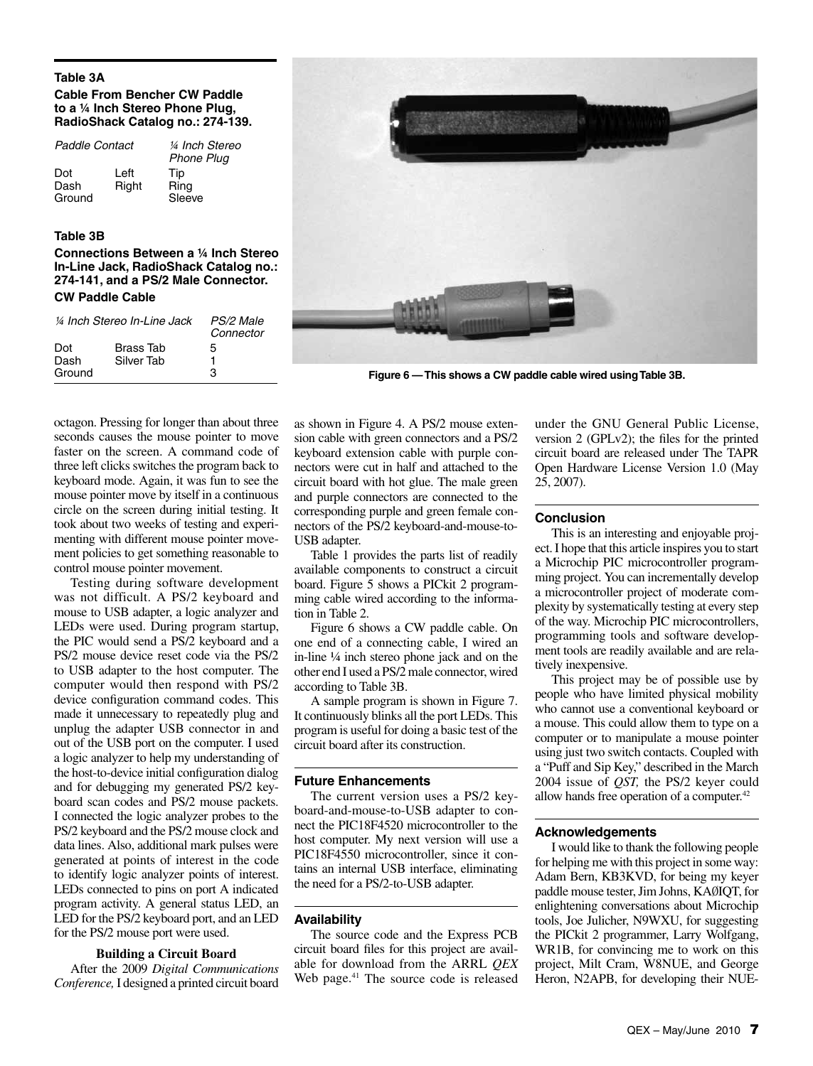# **Table 3A**

# **Cable From Bencher CW Paddle to a ¼ Inch Stereo Phone Plug, RadioShack Catalog no.: 274-139.**

| Paddle Contact        |               | ¼ Inch Stereo<br><b>Phone Plug</b> |
|-----------------------|---------------|------------------------------------|
| Dot<br>Dash<br>Ground | Left<br>Right | <b>Tip</b><br>Ring<br>Sleeve       |

# **Table 3B**

**Connections Between a ¼ Inch Stereo In-Line Jack, RadioShack Catalog no.: 274-141, and a PS/2 Male Connector. CW Paddle Cable**

|             | 1/4 Inch Stereo In-Line Jack   | PS/2 Male<br>Connector |
|-------------|--------------------------------|------------------------|
| Dot<br>Dash | <b>Brass Tab</b><br>Silver Tab | 5<br>1                 |
| Ground      |                                | з                      |



**Figure 6 — This shows a CW paddle cable wired using Table 3B.**

octagon. Pressing for longer than about three seconds causes the mouse pointer to move faster on the screen. A command code of three left clicks switches the program back to keyboard mode. Again, it was fun to see the mouse pointer move by itself in a continuous circle on the screen during initial testing. It took about two weeks of testing and experimenting with different mouse pointer movement policies to get something reasonable to control mouse pointer movement.

Testing during software development was not difficult. A PS/2 keyboard and mouse to USB adapter, a logic analyzer and LEDs were used. During program startup, the PIC would send a PS/2 keyboard and a PS/2 mouse device reset code via the PS/2 to USB adapter to the host computer. The computer would then respond with PS/2 device configuration command codes. This made it unnecessary to repeatedly plug and unplug the adapter USB connector in and out of the USB port on the computer. I used a logic analyzer to help my understanding of the host-to-device initial configuration dialog and for debugging my generated PS/2 keyboard scan codes and PS/2 mouse packets. I connected the logic analyzer probes to the PS/2 keyboard and the PS/2 mouse clock and data lines. Also, additional mark pulses were generated at points of interest in the code to identify logic analyzer points of interest. LEDs connected to pins on port A indicated program activity. A general status LED, an LED for the PS/2 keyboard port, and an LED for the PS/2 mouse port were used.

# **Building a Circuit Board**

After the 2009 *Digital Communications Conference,* I designed a printed circuit board

as shown in Figure 4. A PS/2 mouse extension cable with green connectors and a PS/2 keyboard extension cable with purple connectors were cut in half and attached to the circuit board with hot glue. The male green and purple connectors are connected to the corresponding purple and green female connectors of the PS/2 keyboard-and-mouse-to-USB adapter.

Table 1 provides the parts list of readily available components to construct a circuit board. Figure 5 shows a PICkit 2 programming cable wired according to the information in Table 2.

Figure 6 shows a CW paddle cable. On one end of a connecting cable, I wired an in-line ¼ inch stereo phone jack and on the other end I used a PS/2 male connector, wired according to Table 3B.

A sample program is shown in Figure 7. It continuously blinks all the port LEDs. This program is useful for doing a basic test of the circuit board after its construction.

# **Future Enhancements**

The current version uses a PS/2 keyboard-and-mouse-to-USB adapter to connect the PIC18F4520 microcontroller to the host computer. My next version will use a PIC18F4550 microcontroller, since it contains an internal USB interface, eliminating the need for a PS/2-to-USB adapter.

# **Availability**

The source code and the Express PCB circuit board files for this project are available for download from the ARRL *QEX* Web page.<sup>41</sup> The source code is released under the GNU General Public License, version 2 (GPLv2); the files for the printed circuit board are released under The TAPR Open Hardware License Version 1.0 (May 25, 2007).

## **Conclusion**

This is an interesting and enjoyable project. I hope that this article inspires you to start a Microchip PIC microcontroller programming project. You can incrementally develop a microcontroller project of moderate complexity by systematically testing at every step of the way. Microchip PIC microcontrollers, programming tools and software development tools are readily available and are relatively inexpensive.

This project may be of possible use by people who have limited physical mobility who cannot use a conventional keyboard or a mouse. This could allow them to type on a computer or to manipulate a mouse pointer using just two switch contacts. Coupled with a "Puff and Sip Key," described in the March 2004 issue of *QST,* the PS/2 keyer could allow hands free operation of a computer.<sup>42</sup>

# **Acknowledgements**

I would like to thank the following people for helping me with this project in some way: Adam Bern, KB3KVD, for being my keyer paddle mouse tester, Jim Johns, KAØIQT, for enlightening conversations about Microchip tools, Joe Julicher, N9WXU, for suggesting the PICkit 2 programmer, Larry Wolfgang, WR1B, for convincing me to work on this project, Milt Cram, W8NUE, and George Heron, N2APB, for developing their NUE-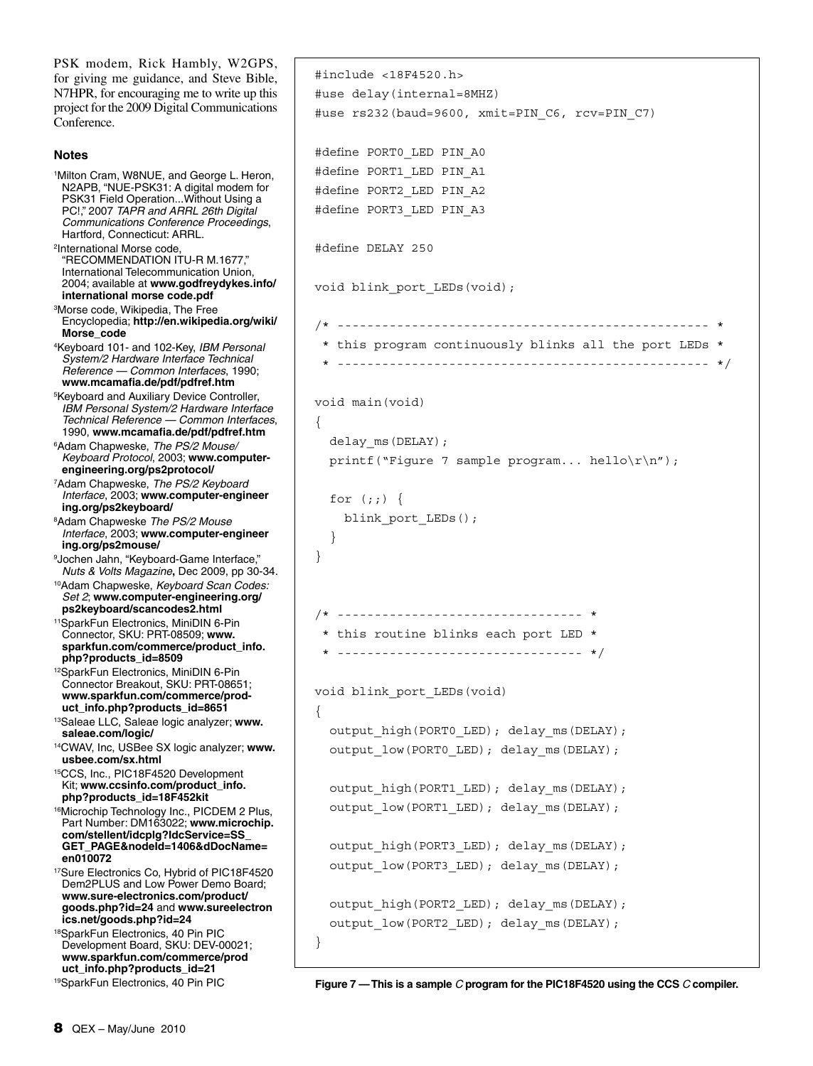PSK modem, Rick Hambly, W2GPS, for giving me guidance, and Steve Bible, N7HPR, for encouraging me to write up this project for the 2009 Digital Communications Conference. **Notes** 1 Milton Cram, W8NUE, and George L. Heron, N2APB, "NUE-PSK31: A digital modem for PSK31 Field Operation...Without Using a PC!," 2007 *TAPR and ARRL 26th Digital Communications Conference Proceedings*, Hartford, Connecticut: ARRL. 2 International Morse code, "RECOMMENDATION ITU-R M.1677," International Telecommunication Union, 2004; available at **www.godfreydykes.info/ international morse code.pdf** 3 Morse code, Wikipedia, The Free Encyclopedia; **http://en.wikipedia.org/wiki/ Morse\_code** 4 Keyboard 101- and 102-Key, *IBM Personal System/2 Hardware Interface Technical Reference — Common Interfaces*, 1990; **www.mcamafia.de/pdf/pdfref.htm** 5 Keyboard and Auxiliary Device Controller, *IBM Personal System/2 Hardware Interface Technical Reference — Common Interfaces*, 1990, **www.mcamafia.de/pdf/pdfref.htm** 6 Adam Chapweske, *The PS/2 Mouse/ Keyboard Protocol*, 2003; **www.computerengineering.org/ps2protocol/** 7 Adam Chapweske, *The PS/2 Keyboard Interface*, 2003; **www.computer-engineer ing.org/ps2keyboard/** 8 Adam Chapweske *The PS/2 Mouse Interface*, 2003; **www.computer-engineer ing.org/ps2mouse/** 9 Jochen Jahn, "Keyboard-Game Interface," *Nuts & Volts Magazine***,** Dec 2009, pp 30-34. 10Adam Chapweske, *Keyboard Scan Codes: Set 2*; **www.computer-engineering.org/ ps2keyboard/scancodes2.html**  11SparkFun Electronics, MiniDIN 6-Pin Connector, SKU: PRT-08509; **www. sparkfun.com/commerce/product\_info. php?products\_id=8509** 12SparkFun Electronics, MiniDIN 6-Pin Connector Breakout, SKU: PRT-08651; **www.sparkfun.com/commerce/product\_info.php?products\_id=8651** 13Saleae LLC, Saleae logic analyzer; **www. saleae.com/logic/** 14CWAV, Inc, USBee SX logic analyzer; **www. usbee.com/sx.html** 15CCS, Inc., PIC18F4520 Development Kit; **www.ccsinfo.com/product\_info. php?products\_id=18F452kit** 16Microchip Technology Inc., PICDEM 2 Plus, Part Number: DM163022; **www.microchip. com/stellent/idcplg?IdcService=SS\_ GET\_PAGE&nodeId=1406&dDocName= en010072** 17Sure Electronics Co, Hybrid of PIC18F4520 Dem2PLUS and Low Power Demo Board; **www.sure-electronics.com/product/ goods.php?id=24** and **www.sureelectron ics.net/goods.php?id=24** 18SparkFun Electronics, 40 Pin PIC Development Board, SKU: DEV-00021; **www.sparkfun.com/commerce/prod uct\_info.php?products\_id=21** 19SparkFun Electronics, 40 Pin PIC #include <18F4520.h> #use delay(internal=8MHZ) #use rs232(baud=9600, xmit=PIN\_C6, rcv=PIN\_C7) #define PORT0\_LED PIN\_A0 #define PORT1\_LED PIN\_A1 #define PORT2\_LED PIN\_A2 #define PORT3\_LED PIN\_A3 #define DELAY 250 void blink port LEDs(void); /\* -------------------------------------------------- \* \* this program continuously blinks all the port LEDs \* \* -------------------------------------------------- \*/ void main(void)  $\left\{ \right.$  delay\_ms(DELAY); printf("Figure 7 sample program... hello $\r\ln$ "); for  $(j; j)$  { blink port LEDs(); } } /\* --------------------------------- \* \* this routine blinks each port LED \* \* --------------------------------- \*/ void blink\_port\_LEDs(void) { output high(PORT0 LED); delay ms(DELAY); output low(PORT0 LED); delay ms(DELAY); output high(PORT1 LED); delay ms(DELAY); output\_low(PORT1\_LED); delay\_ms(DELAY); output high(PORT3 LED); delay ms(DELAY); output\_low(PORT3\_LED); delay\_ms(DELAY); output high(PORT2 LED); delay ms(DELAY); output\_low(PORT2\_LED); delay\_ms(DELAY); } **Figure 7 — This is a sample** *C* **program for the PIC18F4520 using the CCS** *C* **compiler.**